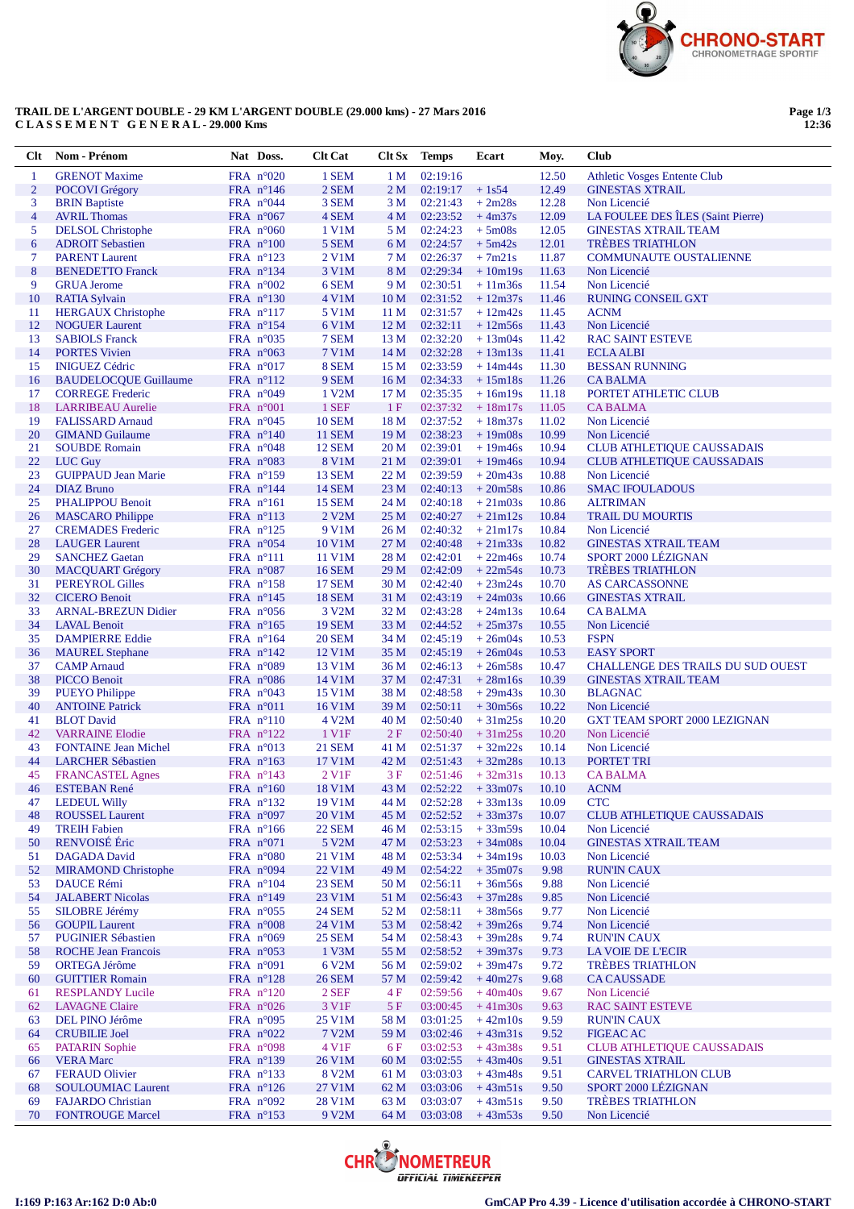

## **TRAIL DE L'ARGENT DOUBLE - 29 KM L'ARGENT DOUBLE (29.000 kms) - 27 Mars 2016 C L A S S E M E N T G E N E R A L - 29.000 Kms**

**Page 1/3 12:36**

| Clt            | Nom - Prénom                                        | Nat Doss.                                  | <b>Clt Cat</b>                 | Clt Sx                | <b>Temps</b>         | Ecart                  | Moy.           | <b>Club</b>                                            |
|----------------|-----------------------------------------------------|--------------------------------------------|--------------------------------|-----------------------|----------------------|------------------------|----------------|--------------------------------------------------------|
| $\mathbf{1}$   | <b>GRENOT Maxime</b>                                | FRA $n^{\circ}020$                         | 1 SEM                          | 1 M                   | 02:19:16             |                        | 12.50          | <b>Athletic Vosges Entente Club</b>                    |
| $\overline{2}$ | POCOVI Grégory                                      | FRA $n^{\circ}146$                         | 2 SEM                          | 2 <sub>M</sub>        | 02:19:17             | $+1s54$                | 12.49          | <b>GINESTAS XTRAIL</b>                                 |
| 3              | <b>BRIN</b> Baptiste                                | FRA $n^{\circ}044$                         | 3 SEM                          | 3 M                   | 02:21:43             | $+2m28s$               | 12.28          | Non Licencié                                           |
| $\overline{4}$ | <b>AVRIL Thomas</b>                                 | FRA $n^{\circ}067$                         | 4 SEM                          | 4 M                   | 02:23:52             | $+4m37s$               | 12.09          | LA FOULEE DES ÎLES (Saint Pierre)                      |
| 5              | <b>DELSOL</b> Christophe                            | FRA $n^{\circ}060$                         | 1 V1M                          | 5 M                   | 02:24:23             | $+5m08s$               | 12.05          | <b>GINESTAS XTRAIL TEAM</b><br><b>TRÈBES TRIATHLON</b> |
| 6<br>$\tau$    | <b>ADROIT Sebastien</b><br><b>PARENT Laurent</b>    | FRA $n^{\circ}100$                         | 5 SEM                          | 6 M<br>7 M            | 02:24:57<br>02:26:37 | $+5m42s$<br>$+7m21s$   | 12.01<br>11.87 |                                                        |
| $8\phantom{1}$ | <b>BENEDETTO Franck</b>                             | FRA $n^{\circ}123$<br>FRA $n^{\circ}134$   | 2 V1M<br>3 V1M                 | 8 M                   | 02:29:34             | $+10m19s$              | 11.63          | <b>COMMUNAUTE OUSTALIENNE</b><br>Non Licencié          |
| 9              | <b>GRUA Jerome</b>                                  | FRA $n^{\circ}002$                         | 6 SEM                          | 9 M                   | 02:30:51             | $+11m36s$              | 11.54          | Non Licencié                                           |
| 10             | <b>RATIA Sylvain</b>                                | FRA $n^{\circ}130$                         | 4 V1M                          | 10 <sub>M</sub>       | 02:31:52             | $+12m37s$              | 11.46          | <b>RUNING CONSEIL GXT</b>                              |
| 11             | <b>HERGAUX Christophe</b>                           | FRA $n^{\circ}117$                         | 5 V1M                          | 11 <sub>M</sub>       | 02:31:57             | $+12m42s$              | 11.45          | <b>ACNM</b>                                            |
| 12             | <b>NOGUER Laurent</b>                               | FRA n°154                                  | 6 V1M                          | 12 <sub>M</sub>       | 02:32:11             | $+12m56s$              | 11.43          | Non Licencié                                           |
| 13             | <b>SABIOLS Franck</b>                               | FRA $n^{\circ}035$                         | 7 SEM                          | 13 M                  | 02:32:20             | $+13m04s$              | 11.42          | <b>RAC SAINT ESTEVE</b>                                |
| 14             | <b>PORTES Vivien</b>                                | FRA $n^{\circ}063$                         | 7 V1M                          | 14 M                  | 02:32:28             | $+13m13s$              | 11.41          | <b>ECLA ALBI</b>                                       |
| 15             | <b>INIGUEZ Cédric</b>                               | FRA $n^{\circ}017$                         | 8 SEM                          | 15 M                  | 02:33:59             | $+14m44s$              | 11.30          | <b>BESSAN RUNNING</b>                                  |
| 16             | <b>BAUDELOCQUE Guillaume</b>                        | FRA $n^{\circ}112$                         | 9 SEM                          | 16 <sub>M</sub>       | 02:34:33             | $+15m18s$              | 11.26          | <b>CABALMA</b>                                         |
| 17             | <b>CORREGE Frederic</b>                             | FRA $n^{\circ}049$                         | 1 V2M<br>1 SEF                 | 17 <sub>M</sub><br>1F | 02:35:35<br>02:37:32 | $+16m19s$              | 11.18<br>11.05 | PORTET ATHLETIC CLUB                                   |
| 18<br>19       | <b>LARRIBEAU</b> Aurelie<br><b>FALISSARD Arnaud</b> | FRA $n^{\circ}001$<br>FRA $n^{\circ}045$   | <b>10 SEM</b>                  | 18 M                  | 02:37:52             | $+18m17s$<br>$+18m37s$ | 11.02          | <b>CABALMA</b><br>Non Licencié                         |
| 20             | <b>GIMAND</b> Guilaume                              | FRA $n^{\circ}140$                         | <b>11 SEM</b>                  | 19 <sub>M</sub>       | 02:38:23             | $+19m08s$              | 10.99          | Non Licencié                                           |
| 21             | <b>SOUBDE Romain</b>                                | FRA $n^{\circ}048$                         | <b>12 SEM</b>                  | 20 M                  | 02:39:01             | $+19m46s$              | 10.94          | <b>CLUB ATHLETIQUE CAUSSADAIS</b>                      |
| 22             | LUC Guy                                             | FRA $n^{\circ}083$                         | <b>8 V1M</b>                   | 21 M                  | 02:39:01             | $+19m46s$              | 10.94          | <b>CLUB ATHLETIQUE CAUSSADAIS</b>                      |
| 23             | <b>GUIPPAUD Jean Marie</b>                          | FRA $n^{\circ}159$                         | <b>13 SEM</b>                  | 22 M                  | 02:39:59             | $+20m43s$              | 10.88          | Non Licencié                                           |
| 24             | <b>DIAZ</b> Bruno                                   | FRA $n^{\circ}144$                         | <b>14 SEM</b>                  | 23 M                  | 02:40:13             | $+20m58s$              | 10.86          | <b>SMAC IFOULADOUS</b>                                 |
| 25             | <b>PHALIPPOU Benoit</b>                             | $FRA$ n°161                                | <b>15 SEM</b>                  | 24 M                  | 02:40:18             | $+21m03s$              | 10.86          | <b>ALTRIMAN</b>                                        |
| 26             | <b>MASCARO</b> Philippe                             | FRA $n^{\circ}113$                         | $2$ V <sub>2</sub> M           | 25 M                  | 02:40:27             | $+21m12s$              | 10.84          | <b>TRAIL DU MOURTIS</b>                                |
| 27             | <b>CREMADES</b> Frederic                            | FRA $n^{\circ}125$                         | 9 V1M                          | 26 M                  | 02:40:32             | $+21m17s$              | 10.84          | Non Licencié                                           |
| 28             | <b>LAUGER Laurent</b>                               | FRA n°054                                  | 10 V1M                         | 27 M                  | 02:40:48             | $+21m33s$              | 10.82          | <b>GINESTAS XTRAIL TEAM</b>                            |
| 29             | <b>SANCHEZ Gaetan</b>                               | $FRA$ n°111                                | 11 V1M                         | 28 M                  | 02:42:01             | $+22m46s$              | 10.74          | SPORT 2000 LÉZIGNAN                                    |
| 30<br>31       | <b>MACQUART Grégory</b><br><b>PEREYROL Gilles</b>   | FRA $n^{\circ}087$<br>FRA $n^{\circ}158$   | <b>16 SEM</b><br><b>17 SEM</b> | 29 M<br>30 M          | 02:42:09<br>02:42:40 | $+22m54s$<br>$+23m24s$ | 10.73<br>10.70 | <b>TRÈBES TRIATHLON</b><br><b>AS CARCASSONNE</b>       |
| 32             | <b>CICERO Benoit</b>                                | FRA $n^{\circ}145$                         | <b>18 SEM</b>                  | 31 M                  | 02:43:19             | $+24m03s$              | 10.66          | <b>GINESTAS XTRAIL</b>                                 |
| 33             | <b>ARNAL-BREZUN Didier</b>                          | FRA $n^{\circ}056$                         | 3 V <sub>2</sub> M             | 32 M                  | 02:43:28             | $+24m13s$              | 10.64          | <b>CABALMA</b>                                         |
| 34             | <b>LAVAL Benoit</b>                                 | FRA $n^{\circ}165$                         | <b>19 SEM</b>                  | 33 M                  | 02:44:52             | $+25m37s$              | 10.55          | Non Licencié                                           |
| 35             | <b>DAMPIERRE Eddie</b>                              | FRA $n^{\circ}164$                         | <b>20 SEM</b>                  | 34 M                  | 02:45:19             | $+26m04s$              | 10.53          | <b>FSPN</b>                                            |
| 36             | <b>MAUREL</b> Stephane                              | FRA $n^{\circ}142$                         | 12 V1M                         | 35 M                  | 02:45:19             | $+26m04s$              | 10.53          | <b>EASY SPORT</b>                                      |
| 37             | <b>CAMP</b> Arnaud                                  | FRA $n^{\circ}089$                         | 13 V1M                         | 36 M                  | 02:46:13             | $+26m58s$              | 10.47          | <b>CHALLENGE DES TRAILS DU SUD OUEST</b>               |
| 38             | <b>PICCO Benoit</b>                                 | FRA $n^{\circ}086$                         | 14 V1M                         | 37 M                  | 02:47:31             | $+28m16s$              | 10.39          | <b>GINESTAS XTRAIL TEAM</b>                            |
| 39             | <b>PUEYO Philippe</b>                               | FRA $n^{\circ}043$                         | 15 V1M                         | 38 M                  | 02:48:58             | $+29m43s$              | 10.30          | <b>BLAGNAC</b>                                         |
| 40             | <b>ANTOINE Patrick</b>                              | FRA $n^{\circ}011$                         | 16 V1M                         | 39 M                  | 02:50:11             | $+30m56s$              | 10.22          | Non Licencié                                           |
| 41<br>42       | <b>BLOT</b> David<br><b>VARRAINE Elodie</b>         | $FRA$ $n^{\circ}110$<br>FRA $n^{\circ}122$ | 4 V <sub>2</sub> M<br>1 V1F    | 40 M<br>2F            | 02:50:40<br>02:50:40 | $+31m25s$<br>$+31m25s$ | 10.20<br>10.20 | GXT TEAM SPORT 2000 LEZIGNAN<br>Non Licencié           |
| 43             | <b>FONTAINE Jean Michel</b>                         | FRA $n^{\circ}013$                         | <b>21 SEM</b>                  | 41 M                  | 02:51:37             | $+32m22s$              | 10.14          | Non Licencié                                           |
| 44             | <b>LARCHER Sébastien</b>                            | FRA $n^{\circ}163$                         | 17 V1M                         | 42 M                  | 02:51:43             | $+32m28s$              | 10.13          | PORTET TRI                                             |
| 45             | <b>FRANCASTEL Agnes</b>                             | FRA $n^{\circ}143$                         | 2 V1F                          | 3 F                   | 02:51:46             | $+32m31s$              | 10.13          | <b>CABALMA</b>                                         |
| 46             | <b>ESTEBAN René</b>                                 | FRA $n^{\circ}160$                         | 18 V1M                         | 43 M                  |                      | $02:52:22 + 33m07s$    | 10.10          | <b>ACNM</b>                                            |
| 47             | <b>LEDEUL Willy</b>                                 | FRA n°132                                  | 19 V1M                         | 44 M                  | 02:52:28             | $+33m13s$              | 10.09          | <b>CTC</b>                                             |
| 48             | <b>ROUSSEL Laurent</b>                              | FRA n°097                                  | 20 V1M                         | 45 M                  | 02:52:52             | $+33m37s$              | 10.07          | <b>CLUB ATHLETIQUE CAUSSADAIS</b>                      |
| 49             | <b>TREIH Fabien</b>                                 | FRA n°166                                  | <b>22 SEM</b>                  | 46 M                  | 02:53:15             | $+33m59s$              | 10.04          | Non Licencié                                           |
| 50             | RENVOISÉ Éric                                       | FRA n°071                                  | 5 V2M                          | 47 M                  | 02:53:23             | $+34m08s$              | 10.04          | <b>GINESTAS XTRAIL TEAM</b>                            |
| 51             | <b>DAGADA</b> David                                 | FRA $n^{\circ}080$                         | 21 V1M                         | 48 M                  | 02:53:34<br>02:54:22 | $+34m19s$              | 10.03<br>9.98  | Non Licencié<br><b>RUN'IN CAUX</b>                     |
| 52<br>53       | <b>MIRAMOND Christophe</b><br><b>DAUCE Rémi</b>     | FRA $n°094$<br>FRA $n^{\circ}104$          | 22 V1M<br>23 SEM               | 49 M<br>50 M          | 02:56:11             | $+35m07s$<br>$+36m56s$ | 9.88           | Non Licencié                                           |
| 54             | <b>JALABERT Nicolas</b>                             | FRA $n^{\circ}149$                         | 23 V1M                         | 51 M                  | 02:56:43             | $+37m28s$              | 9.85           | Non Licencié                                           |
| 55             | <b>SILOBRE Jérémy</b>                               | FRA $n^{\circ}055$                         | <b>24 SEM</b>                  | 52 M                  | 02:58:11             | $+38m56s$              | 9.77           | Non Licencié                                           |
| 56             | <b>GOUPIL Laurent</b>                               | FRA $n^{\circ}008$                         | 24 V1M                         | 53 M                  | 02:58:42             | $+39m26s$              | 9.74           | Non Licencié                                           |
| 57             | <b>PUGINIER Sébastien</b>                           | FRA $n^{\circ}069$                         | <b>25 SEM</b>                  | 54 M                  | 02:58:43             | $+39m28s$              | 9.74           | <b>RUN'IN CAUX</b>                                     |
| 58             | <b>ROCHE Jean Francois</b>                          | FRA $n^{\circ}053$                         | 1 V3M                          | 55 M                  | 02:58:52             | $+39m37s$              | 9.73           | <b>LA VOIE DE L'ECIR</b>                               |
| 59             | <b>ORTEGA Jérôme</b>                                | FRA $n°091$                                | 6 V2M                          | 56 M                  | 02:59:02             | $+39m47s$              | 9.72           | <b>TRÈBES TRIATHLON</b>                                |
| 60             | <b>GUITTIER Romain</b>                              | FRA $n^{\circ}128$                         | <b>26 SEM</b>                  | 57 M                  | 02:59:42             | $+40m27s$              | 9.68           | <b>CA CAUSSADE</b>                                     |
| 61             | <b>RESPLANDY Lucile</b>                             | FRA $n^{\circ}120$                         | 2 SEF                          | 4F                    | 02:59:56             | $+40m40s$              | 9.67           | Non Licencié                                           |
| 62             | <b>LAVAGNE Claire</b>                               | FRA $n^{\circ}026$                         | 3 V1F                          | 5F                    | 03:00:45             | $+41m30s$              | 9.63           | <b>RAC SAINT ESTEVE</b>                                |
| 63             | DEL PINO Jérôme                                     | FRA $n^{\circ}095$                         | 25 V1M                         | 58 M                  | 03:01:25             | $+42m10s$              | 9.59           | <b>RUN'IN CAUX</b>                                     |
| 64<br>65       | <b>CRUBILIE Joel</b><br><b>PATARIN Sophie</b>       | FRA $n^{\circ}022$<br>FRA $n^{\circ}098$   | 7 V2M<br>4 V1F                 | 59 M<br>6 F           | 03:02:46<br>03:02:53 | $+43m31s$<br>$+43m38s$ | 9.52<br>9.51   | <b>FIGEAC AC</b><br><b>CLUB ATHLETIQUE CAUSSADAIS</b>  |
| 66             | <b>VERA</b> Marc                                    | FRA $n^{\circ}139$                         | 26 V1M                         | 60 M                  | 03:02:55             | $+43m40s$              | 9.51           | <b>GINESTAS XTRAIL</b>                                 |
| 67             | <b>FERAUD Olivier</b>                               | FRA $n^{\circ}133$                         | 8 V2M                          | 61 M                  | 03:03:03             | $+43m48s$              | 9.51           | <b>CARVEL TRIATHLON CLUB</b>                           |
| 68             | <b>SOULOUMIAC Laurent</b>                           | FRA $n^{\circ}126$                         | 27 V1M                         | 62 M                  | 03:03:06             | $+43m51s$              | 9.50           | SPORT 2000 LÉZIGNAN                                    |
| 69             | <b>FAJARDO</b> Christian                            | FRA $n^{\circ}092$                         | 28 V1M                         | 63 M                  | 03:03:07             | $+43m51s$              | 9.50           | <b>TRÈBES TRIATHLON</b>                                |
| 70             | <b>FONTROUGE Marcel</b>                             | FRA $n^{\circ}153$                         | 9 V2M                          | 64 M                  | 03:03:08             | $+43m53s$              | 9.50           | Non Licencié                                           |

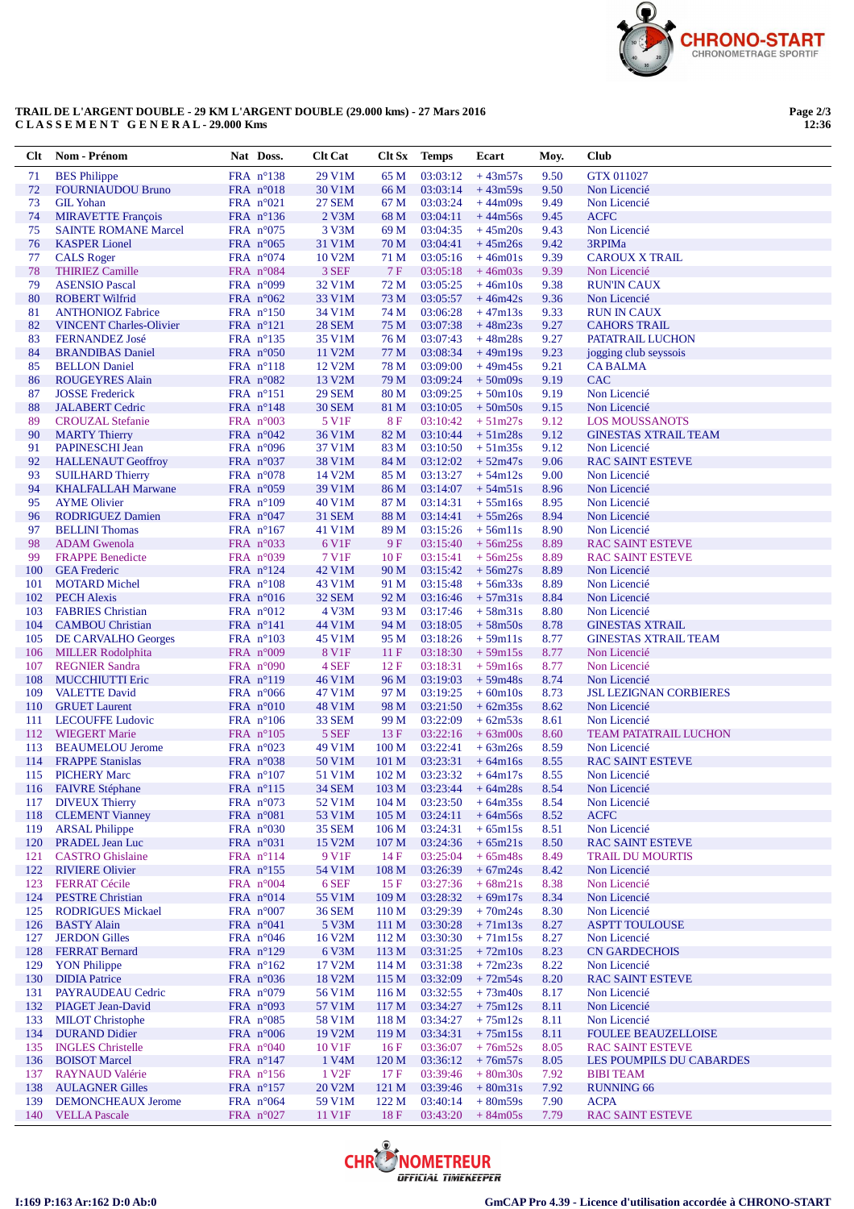

## TRAIL DE L'ARGENT DOUBLE - 29 KM L'ARGENT DOUBLE (29.000 kms) - 27 Mars 2016 CLASSEMENT GENERAL- 29.000 Kms

Page 2/3<br>12:36

| Clt        | Nom - Prénom                                      | Nat Doss.                                | <b>Clt Cat</b>         | Clt Sx                               | <b>Temps</b>         | Ecart                                  | Moy.         | <b>Club</b>                                  |
|------------|---------------------------------------------------|------------------------------------------|------------------------|--------------------------------------|----------------------|----------------------------------------|--------------|----------------------------------------------|
| 71         | <b>BES</b> Philippe                               | FRA n°138                                | 29 V1M                 | 65 M                                 | 03:03:12             | $+43m57s$                              | 9.50         | <b>GTX 011027</b>                            |
| 72         | <b>FOURNIAUDOU Bruno</b>                          | FRA $n^{\circ}018$                       | 30 V1M                 | 66 M                                 | 03:03:14             | $+43m59s$                              | 9.50         | Non Licencié                                 |
| 73         | <b>GIL Yohan</b>                                  | FRA $n^{\circ}021$                       | <b>27 SEM</b>          | 67 M                                 | 03:03:24             | $+44m09s$                              | 9.49         | Non Licencié                                 |
| 74         | <b>MIRAVETTE François</b>                         | FRA $n^{\circ}136$                       | 2 V3M                  | 68 M                                 | 03:04:11             | $+44m56s$                              | 9.45         | <b>ACFC</b>                                  |
| 75         | <b>SAINTE ROMANE Marcel</b>                       | FRA $n^{\circ}075$                       | 3 V3M                  | 69 M                                 | 03:04:35             | $+45m20s$                              | 9.43         | Non Licencié                                 |
| 76         | <b>KASPER Lionel</b>                              | FRA $n^{\circ}065$                       | 31 V1M<br>10 V2M       | 70 M                                 | 03:04:41             | $+45m26s$                              | 9.42<br>9.39 | 3RPIMa                                       |
| 77<br>78   | <b>CALS Roger</b><br><b>THIRIEZ Camille</b>       | FRA $n^{\circ}074$<br>FRA $n^{\circ}084$ | 3 SEF                  | 71 M<br>7F                           | 03:05:16<br>03:05:18 | $+46m01s$<br>$+46m03s$                 | 9.39         | <b>CAROUX X TRAIL</b><br>Non Licencié        |
| 79         | <b>ASENSIO Pascal</b>                             | FRA $n°099$                              | 32 V1M                 | 72 M                                 | 03:05:25             | $+46m10s$                              | 9.38         | <b>RUN'IN CAUX</b>                           |
| 80         | <b>ROBERT Wilfrid</b>                             | FRA $n^{\circ}062$                       | 33 V1M                 | 73 M                                 | 03:05:57             | $+46m42s$                              | 9.36         | Non Licencié                                 |
| 81         | <b>ANTHONIOZ Fabrice</b>                          | FRA $n^{\circ}150$                       | 34 V1M                 | 74 M                                 | 03:06:28             | $+47m13s$                              | 9.33         | <b>RUN IN CAUX</b>                           |
| 82         | <b>VINCENT Charles-Olivier</b>                    | FRA n°121                                | <b>28 SEM</b>          | 75 M                                 | 03:07:38             | $+48m23s$                              | 9.27         | <b>CAHORS TRAIL</b>                          |
| 83         | <b>FERNANDEZ José</b>                             | FRA $n^{\circ}$ 135                      | 35 V1M                 | 76 M                                 | 03:07:43             | $+48m28s$                              | 9.27         | PATATRAIL LUCHON                             |
| 84         | <b>BRANDIBAS Daniel</b>                           | FRA $n^{\circ}050$                       | 11 V2M                 | 77 M                                 | 03:08:34             | $+49m19s$                              | 9.23         | jogging club seyssois                        |
| 85         | <b>BELLON</b> Daniel                              | FRA $n^{\circ}118$                       | 12 V <sub>2</sub> M    | 78 M                                 | 03:09:00             | $+49m45s$                              | 9.21         | <b>CABALMA</b>                               |
| 86         | <b>ROUGEYRES Alain</b>                            | FRA $n^{\circ}082$                       | 13 V2M                 | 79 M                                 | 03:09:24             | $+50m09s$                              | 9.19         | <b>CAC</b>                                   |
| 87         | <b>JOSSE</b> Frederick                            | FRA $n^{\circ}151$                       | <b>29 SEM</b>          | 80 M                                 | 03:09:25             | $+50m10s$                              | 9.19         | Non Licencié                                 |
| 88<br>89   | <b>JALABERT</b> Cedric<br><b>CROUZAL Stefanie</b> | FRA $n^{\circ}148$<br>FRA $n^{\circ}003$ | <b>30 SEM</b><br>5 V1F | 81 M<br><b>8F</b>                    | 03:10:05<br>03:10:42 | $+50m50s$<br>$+51m27s$                 | 9.15<br>9.12 | Non Licencié<br><b>LOS MOUSSANOTS</b>        |
| 90         | <b>MARTY Thierry</b>                              | FRA $n^{\circ}042$                       | 36 V1M                 | 82 M                                 | 03:10:44             | $+51m28s$                              | 9.12         | <b>GINESTAS XTRAIL TEAM</b>                  |
| 91         | PAPINESCHI Jean                                   | FRA $n^{\circ}096$                       | 37 V1M                 | 83 M                                 | 03:10:50             | $+51m35s$                              | 9.12         | Non Licencié                                 |
| 92         | <b>HALLENAUT Geoffroy</b>                         | FRA $n^{\circ}037$                       | 38 V1M                 | 84 M                                 | 03:12:02             | $+52m47s$                              | 9.06         | <b>RAC SAINT ESTEVE</b>                      |
| 93         | <b>SUILHARD Thierry</b>                           | FRA $n^{\circ}078$                       | 14 V2M                 | 85 M                                 | 03:13:27             | $+54m12s$                              | 9.00         | Non Licencié                                 |
| 94         | <b>KHALFALLAH Marwane</b>                         | FRA n°059                                | 39 V1M                 | 86 M                                 | 03:14:07             | $+54m51s$                              | 8.96         | Non Licencié                                 |
| 95         | <b>AYME Olivier</b>                               | FRA $n^{\circ}109$                       | 40 V1M                 | 87 M                                 | 03:14:31             | $+55$ m $16s$                          | 8.95         | Non Licencié                                 |
| 96         | <b>RODRIGUEZ Damien</b>                           | FRA $n^{\circ}047$                       | <b>31 SEM</b>          | 88 M                                 | 03:14:41             | $+55m26s$                              | 8.94         | Non Licencié                                 |
| 97         | <b>BELLINI</b> Thomas                             | FRA $n^{\circ}167$                       | 41 V1M                 | 89 M                                 | 03:15:26             | $+56m11s$                              | 8.90         | Non Licencié                                 |
| 98         | <b>ADAM</b> Gwenola                               | FRA $n^{\circ}033$                       | 6 V1F                  | 9F                                   | 03:15:40             | $+56m25s$                              | 8.89         | <b>RAC SAINT ESTEVE</b>                      |
| 99         | <b>FRAPPE Benedicte</b>                           | FRA n°039                                | 7 V1F                  | 10F                                  | 03:15:41             | $+56m25s$                              | 8.89         | <b>RAC SAINT ESTEVE</b>                      |
| 100<br>101 | <b>GEA</b> Frederic<br><b>MOTARD Michel</b>       | FRA $n^{\circ}124$<br>FRA $n^{\circ}108$ | 42 V1M<br>43 V1M       | 90 M<br>91 M                         | 03:15:42<br>03:15:48 | $+56m27s$<br>$+56m33s$                 | 8.89<br>8.89 | Non Licencié<br>Non Licencié                 |
| 102        | <b>PECH Alexis</b>                                | FRA $n^{\circ}016$                       | <b>32 SEM</b>          | 92 M                                 | 03:16:46             | $+57m31s$                              | 8.84         | Non Licencié                                 |
| 103        | <b>FABRIES</b> Christian                          | FRA $n^{\circ}012$                       | 4 V3M                  | 93 M                                 | 03:17:46             | $+58m31s$                              | 8.80         | Non Licencié                                 |
| 104        | <b>CAMBOU Christian</b>                           | FRA $n^{\circ}141$                       | 44 V1M                 | 94 M                                 | 03:18:05             | $+58m50s$                              | 8.78         | <b>GINESTAS XTRAIL</b>                       |
| 105        | DE CARVALHO Georges                               | FRA $n^{\circ}103$                       | 45 V1M                 | 95 M                                 | 03:18:26             | $+59m11s$                              | 8.77         | <b>GINESTAS XTRAIL TEAM</b>                  |
| 106        | <b>MILLER Rodolphita</b>                          | FRA $n°009$                              | <b>8 V1F</b>           | 11F                                  | 03:18:30             | $+59m15s$                              | 8.77         | Non Licencié                                 |
| 107        | <b>REGNIER Sandra</b>                             | FRA $n^{\circ}090$                       | 4 SEF                  | 12F                                  | 03:18:31             | $+59m16s$                              | 8.77         | Non Licencié                                 |
| 108        | <b>MUCCHIUTTI Eric</b>                            | FRA $n^{\circ}119$                       | 46 V1M                 | 96 M                                 | 03:19:03             | $+59m48s$                              | 8.74         | Non Licencié                                 |
| 109        | <b>VALETTE David</b>                              | FRA $n^{\circ}066$                       | 47 V1M                 | 97 M                                 | 03:19:25             | $+60m10s$                              | 8.73         | <b>JSL LEZIGNAN CORBIERES</b>                |
| 110        | <b>GRUET</b> Laurent                              | FRA n°010                                | 48 V1M                 | 98 M                                 | 03:21:50             | $+62m35s$                              | 8.62         | Non Licencié                                 |
| 111<br>112 | <b>LECOUFFE Ludovic</b><br><b>WIEGERT Marie</b>   | FRA $n^{\circ}106$<br>FRA $n^{\circ}105$ | 33 SEM<br>5 SEF        | 99 M<br>13F                          | 03:22:09<br>03:22:16 | $+62m53s$<br>$+63 \text{m}00 \text{s}$ | 8.61<br>8.60 | Non Licencié<br><b>TEAM PATATRAIL LUCHON</b> |
| 113        | <b>BEAUMELOU Jerome</b>                           | FRA $n^{\circ}023$                       | 49 V1M                 | 100 <sub>M</sub>                     | 03:22:41             | $+63m26s$                              | 8.59         | Non Licencié                                 |
| 114        | <b>FRAPPE Stanislas</b>                           | FRA $n^{\circ}038$                       | 50 V1M                 | 101 <sub>M</sub>                     | 03:23:31             | $+64m16s$                              | 8.55         | <b>RAC SAINT ESTEVE</b>                      |
| 115        | <b>PICHERY Marc</b>                               | FRA $n^{\circ}107$                       | 51 V1M                 | 102 <sub>M</sub>                     | 03:23:32             | $+64m17s$                              | 8.55         | Non Licencié                                 |
| 116        | <b>FAIVRE</b> Stéphane                            | FRA $n^{\circ}115$                       | <b>34 SEM</b>          | 103 M                                | 03:23:44             | $+64m28s$                              | 8.54         | Non Licencié                                 |
|            | 117 DIVEUX Thierry                                | FRA n°073                                | 52 V1M                 | 104 <sub>M</sub>                     | 03:23:50             | $+64m35s$                              | 8.54         | Non Licencié                                 |
| 118        | <b>CLEMENT Vianney</b>                            | FRA n°081                                | 53 V1M                 | 105 <sub>M</sub>                     | 03:24:11             | $+64m56s$                              | 8.52         | <b>ACFC</b>                                  |
| 119        | <b>ARSAL Philippe</b>                             | FRA n°030                                | <b>35 SEM</b>          | 106 <sub>M</sub>                     | 03:24:31             | $+65m15s$                              | 8.51         | Non Licencié                                 |
| 120        | PRADEL Jean Luc                                   | FRA n°031                                | 15 V2M                 | $107\,\rm M$                         | 03:24:36             | $+65m21s$                              | 8.50         | <b>RAC SAINT ESTEVE</b>                      |
| 121        | <b>CASTRO</b> Ghislaine<br><b>RIVIERE Olivier</b> | FRA n°114<br>FRA n°155                   | 9 V <sub>1F</sub>      | 14F                                  | 03:25:04             | $+65m48s$                              | 8.49         | <b>TRAIL DU MOURTIS</b>                      |
| 122<br>123 | <b>FERRAT Cécile</b>                              | FRA $n^{\circ}004$                       | 54 V1M<br>6 SEF        | 108 <sub>M</sub><br>15 F             | 03:26:39<br>03:27:36 | $+67m24s$<br>$+68m21s$                 | 8.42<br>8.38 | Non Licencié<br>Non Licencié                 |
| 124        | <b>PESTRE Christian</b>                           | FRA n°014                                | 55 V1M                 | 109 <sub>M</sub>                     | 03:28:32             | $+69m17s$                              | 8.34         | Non Licencié                                 |
| 125        | <b>RODRIGUES Mickael</b>                          | FRA $n^{\circ}007$                       | <b>36 SEM</b>          | 110 <sub>M</sub>                     | 03:29:39             | $+70m24s$                              | 8.30         | Non Licencié                                 |
| 126        | <b>BASTY Alain</b>                                | FRA n°041                                | 5 V3M                  | 111 M                                | 03:30:28             | $+71m13s$                              | 8.27         | <b>ASPTT TOULOUSE</b>                        |
| 127        | <b>JERDON</b> Gilles                              | FRA $n^{\circ}046$                       | 16 V2M                 | 112M                                 | 03:30:30             | $+71m15s$                              | 8.27         | Non Licencié                                 |
| 128        | <b>FERRAT Bernard</b>                             | FRA $n^{\circ}129$                       | 6 V3M                  | 113M                                 | 03:31:25             | $+72m10s$                              | 8.23         | <b>CN GARDECHOIS</b>                         |
| 129        | <b>YON Philippe</b>                               | FRA $n^{\circ}162$                       | 17 V2M                 | 114M                                 | 03:31:38             | $+72m23s$                              | 8.22         | Non Licencié                                 |
| 130        | <b>DIDIA</b> Patrice                              | FRA $n^{\circ}036$                       | 18 V2M                 | 115M                                 | 03:32:09             | $+72m54s$                              | 8.20         | <b>RAC SAINT ESTEVE</b>                      |
| 131        | PAYRAUDEAU Cedric                                 | FRA n°079                                | 56 V1M                 | 116M                                 | 03:32:55             | $+73m40s$                              | 8.17         | Non Licencié                                 |
| 132        | <b>PIAGET Jean-David</b>                          | FRA $n^{\circ}093$                       | 57 V1M                 | 117 <sub>M</sub>                     | 03:34:27             | $+75m12s$                              | 8.11         | Non Licencié                                 |
| 133<br>134 | <b>MILOT</b> Christophe<br><b>DURAND Didier</b>   | FRA $n^{\circ}085$<br>FRA n°006          | 58 V1M<br>19 V2M       | 118 <sub>M</sub><br>119 <sub>M</sub> | 03:34:27<br>03:34:31 | $+75m12s$<br>$+75m15s$                 | 8.11<br>8.11 | Non Licencié<br><b>FOULEE BEAUZELLOISE</b>   |
| 135        | <b>INGLES</b> Christelle                          | FRA $n^{\circ}040$                       | 10 V1F                 | 16F                                  | 03:36:07             | $+76m52s$                              | 8.05         | <b>RAC SAINT ESTEVE</b>                      |
| 136        | <b>BOISOT Marcel</b>                              | FRA $n^{\circ}147$                       | 1 V <sub>4</sub> M     | 120 M                                | 03:36:12             | $+76m57s$                              | 8.05         | LES POUMPILS DU CABARDES                     |
| 137        | <b>RAYNAUD Valérie</b>                            | FRA $n^{\circ}156$                       | 1 V <sub>2F</sub>      | 17F                                  | 03:39:46             | $+80m30s$                              | 7.92         | <b>BIBI TEAM</b>                             |
| 138        | <b>AULAGNER Gilles</b>                            | FRA n°157                                | 20 V2M                 | 121 M                                | 03:39:46             | $+80m31s$                              | 7.92         | <b>RUNNING 66</b>                            |
| 139        | <b>DEMONCHEAUX Jerome</b>                         | FRA $n^{\circ}064$                       | 59 V1M                 | 122 M                                | 03:40:14             | $+80m59s$                              | 7.90         | <b>ACPA</b>                                  |
| 140        | <b>VELLA Pascale</b>                              | FRA n°027                                | 11 V1F                 | 18F                                  | 03:43:20             | $+84m05s$                              | 7.79         | <b>RAC SAINT ESTEVE</b>                      |